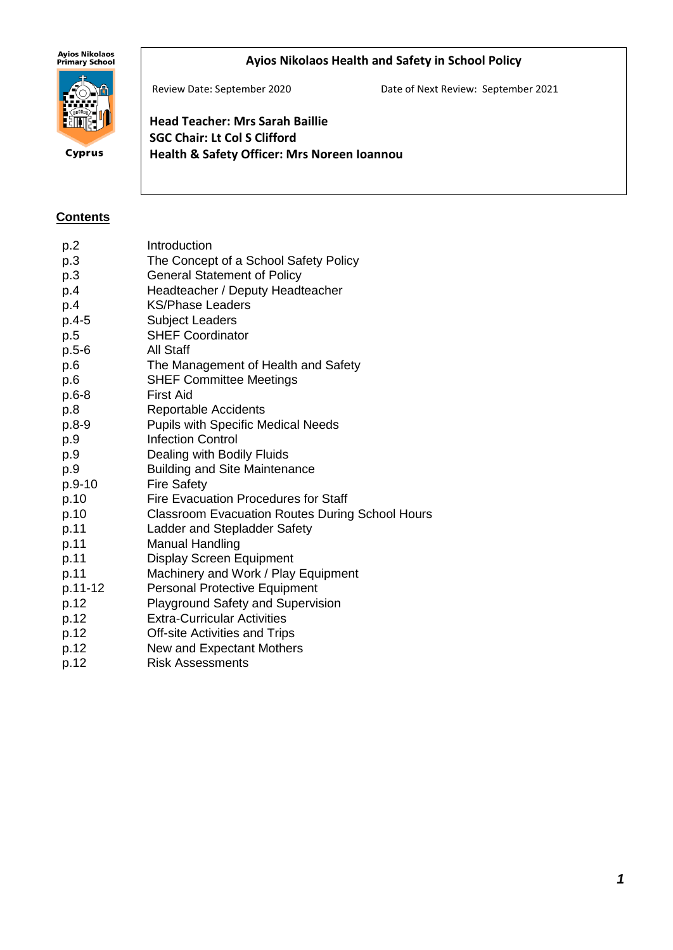# Ayios Nikolaos<br>Primary School

## **Ayios Nikolaos Health and Safety in School Policy**



Cyprus

Review Date: September 2020 Date of Next Review: September 2021

**Head Teacher: Mrs Sarah Baillie SGC Chair: Lt Col S Clifford Health & Safety Officer: Mrs Noreen Ioannou**

#### **Contents**

| p.2       | Introduction                                           |
|-----------|--------------------------------------------------------|
| p.3       | The Concept of a School Safety Policy                  |
| p.3       | <b>General Statement of Policy</b>                     |
| p.4       | Headteacher / Deputy Headteacher                       |
| p.4       | <b>KS/Phase Leaders</b>                                |
| $p.4-5$   | <b>Subject Leaders</b>                                 |
| p.5       | <b>SHEF Coordinator</b>                                |
| $p.5 - 6$ | <b>All Staff</b>                                       |
| p.6       | The Management of Health and Safety                    |
| p.6       | <b>SHEF Committee Meetings</b>                         |
| $p.6-8$   | First Aid                                              |
| p.8       | <b>Reportable Accidents</b>                            |
| $p.8-9$   | <b>Pupils with Specific Medical Needs</b>              |
| p.9       | <b>Infection Control</b>                               |
| p.9       | Dealing with Bodily Fluids                             |
| p.9       | <b>Building and Site Maintenance</b>                   |
| p.9-10    | <b>Fire Safety</b>                                     |
| p.10      | <b>Fire Evacuation Procedures for Staff</b>            |
| p.10      | <b>Classroom Evacuation Routes During School Hours</b> |
| p.11      | Ladder and Stepladder Safety                           |
| p.11      | <b>Manual Handling</b>                                 |
| p.11      | <b>Display Screen Equipment</b>                        |
| p.11      | Machinery and Work / Play Equipment                    |
| p.11-12   | <b>Personal Protective Equipment</b>                   |
| p.12      | <b>Playground Safety and Supervision</b>               |
| p.12      | <b>Extra-Curricular Activities</b>                     |
| p.12      | <b>Off-site Activities and Trips</b>                   |
| p.12      | New and Expectant Mothers                              |
| p.12      | <b>Risk Assessments</b>                                |
|           |                                                        |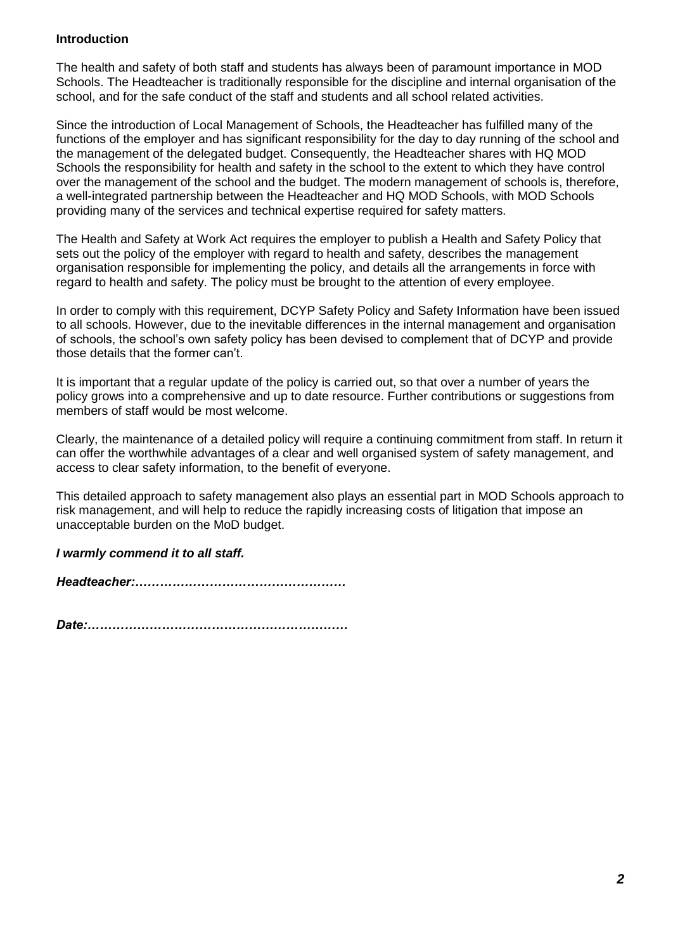## **Introduction**

The health and safety of both staff and students has always been of paramount importance in MOD Schools. The Headteacher is traditionally responsible for the discipline and internal organisation of the school, and for the safe conduct of the staff and students and all school related activities.

Since the introduction of Local Management of Schools, the Headteacher has fulfilled many of the functions of the employer and has significant responsibility for the day to day running of the school and the management of the delegated budget. Consequently, the Headteacher shares with HQ MOD Schools the responsibility for health and safety in the school to the extent to which they have control over the management of the school and the budget. The modern management of schools is, therefore, a well-integrated partnership between the Headteacher and HQ MOD Schools, with MOD Schools providing many of the services and technical expertise required for safety matters.

The Health and Safety at Work Act requires the employer to publish a Health and Safety Policy that sets out the policy of the employer with regard to health and safety, describes the management organisation responsible for implementing the policy, and details all the arrangements in force with regard to health and safety. The policy must be brought to the attention of every employee.

In order to comply with this requirement, DCYP Safety Policy and Safety Information have been issued to all schools. However, due to the inevitable differences in the internal management and organisation of schools, the school's own safety policy has been devised to complement that of DCYP and provide those details that the former can't.

It is important that a regular update of the policy is carried out, so that over a number of years the policy grows into a comprehensive and up to date resource. Further contributions or suggestions from members of staff would be most welcome.

Clearly, the maintenance of a detailed policy will require a continuing commitment from staff. In return it can offer the worthwhile advantages of a clear and well organised system of safety management, and access to clear safety information, to the benefit of everyone.

This detailed approach to safety management also plays an essential part in MOD Schools approach to risk management, and will help to reduce the rapidly increasing costs of litigation that impose an unacceptable burden on the MoD budget.

## *I warmly commend it to all staff.*

*Headteacher:……………………………………………*

*Date:………………………………………………………*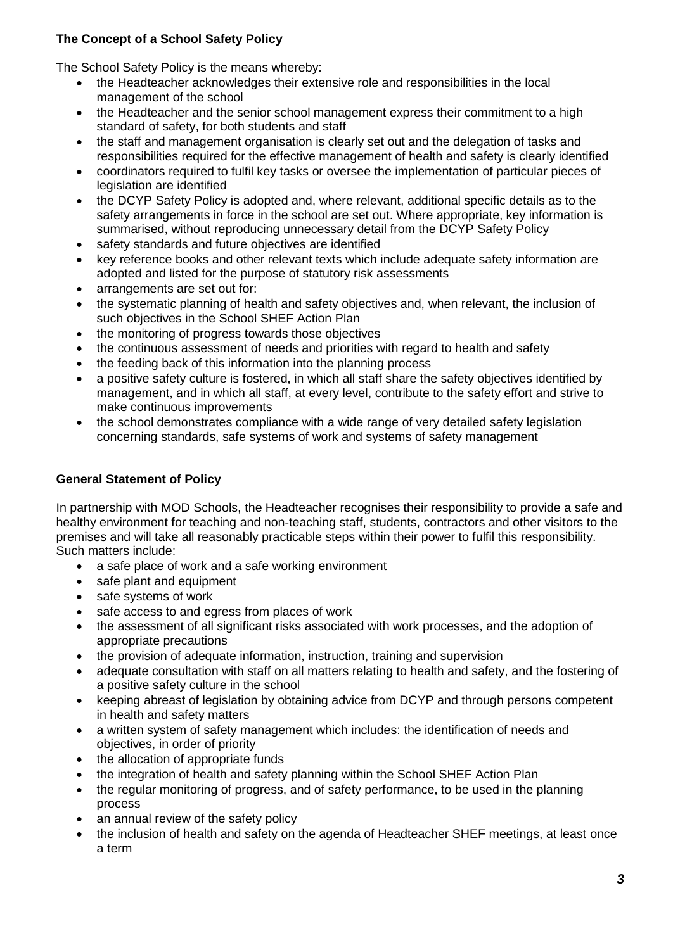# **The Concept of a School Safety Policy**

The School Safety Policy is the means whereby:

- the Headteacher acknowledges their extensive role and responsibilities in the local management of the school
- the Headteacher and the senior school management express their commitment to a high standard of safety, for both students and staff
- the staff and management organisation is clearly set out and the delegation of tasks and responsibilities required for the effective management of health and safety is clearly identified
- coordinators required to fulfil key tasks or oversee the implementation of particular pieces of legislation are identified
- the DCYP Safety Policy is adopted and, where relevant, additional specific details as to the safety arrangements in force in the school are set out. Where appropriate, key information is summarised, without reproducing unnecessary detail from the DCYP Safety Policy
- safety standards and future objectives are identified
- key reference books and other relevant texts which include adequate safety information are adopted and listed for the purpose of statutory risk assessments
- arrangements are set out for:
- the systematic planning of health and safety objectives and, when relevant, the inclusion of such objectives in the School SHEF Action Plan
- the monitoring of progress towards those objectives
- the continuous assessment of needs and priorities with regard to health and safety
- the feeding back of this information into the planning process
- a positive safety culture is fostered, in which all staff share the safety objectives identified by management, and in which all staff, at every level, contribute to the safety effort and strive to make continuous improvements
- the school demonstrates compliance with a wide range of very detailed safety legislation concerning standards, safe systems of work and systems of safety management

## **General Statement of Policy**

In partnership with MOD Schools, the Headteacher recognises their responsibility to provide a safe and healthy environment for teaching and non-teaching staff, students, contractors and other visitors to the premises and will take all reasonably practicable steps within their power to fulfil this responsibility. Such matters include:

- a safe place of work and a safe working environment
- safe plant and equipment
- safe systems of work
- safe access to and egress from places of work
- the assessment of all significant risks associated with work processes, and the adoption of appropriate precautions
- the provision of adequate information, instruction, training and supervision
- adequate consultation with staff on all matters relating to health and safety, and the fostering of a positive safety culture in the school
- keeping abreast of legislation by obtaining advice from DCYP and through persons competent in health and safety matters
- a written system of safety management which includes: the identification of needs and objectives, in order of priority
- the allocation of appropriate funds
- the integration of health and safety planning within the School SHEF Action Plan
- the regular monitoring of progress, and of safety performance, to be used in the planning process
- an annual review of the safety policy
- the inclusion of health and safety on the agenda of Headteacher SHEF meetings, at least once a term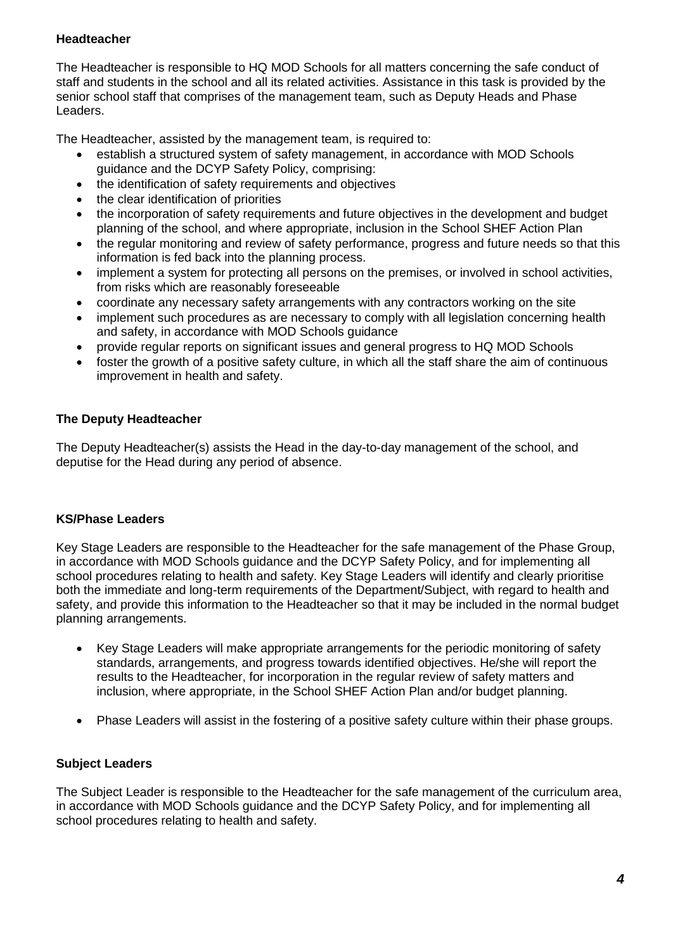## **Headteacher**

The Headteacher is responsible to HQ MOD Schools for all matters concerning the safe conduct of staff and students in the school and all its related activities. Assistance in this task is provided by the senior school staff that comprises of the management team, such as Deputy Heads and Phase Leaders.

The Headteacher, assisted by the management team, is required to:

- establish a structured system of safety management, in accordance with MOD Schools guidance and the DCYP Safety Policy, comprising:
- the identification of safety requirements and objectives
- the clear identification of priorities
- the incorporation of safety requirements and future objectives in the development and budget planning of the school, and where appropriate, inclusion in the School SHEF Action Plan
- the regular monitoring and review of safety performance, progress and future needs so that this information is fed back into the planning process.
- implement a system for protecting all persons on the premises, or involved in school activities, from risks which are reasonably foreseeable
- coordinate any necessary safety arrangements with any contractors working on the site
- implement such procedures as are necessary to comply with all legislation concerning health and safety, in accordance with MOD Schools guidance
- provide regular reports on significant issues and general progress to HQ MOD Schools
- foster the growth of a positive safety culture, in which all the staff share the aim of continuous improvement in health and safety.

# **The Deputy Headteacher**

The Deputy Headteacher(s) assists the Head in the day-to-day management of the school, and deputise for the Head during any period of absence.

# **KS/Phase Leaders**

Key Stage Leaders are responsible to the Headteacher for the safe management of the Phase Group, in accordance with MOD Schools guidance and the DCYP Safety Policy, and for implementing all school procedures relating to health and safety. Key Stage Leaders will identify and clearly prioritise both the immediate and long-term requirements of the Department/Subject, with regard to health and safety, and provide this information to the Headteacher so that it may be included in the normal budget planning arrangements.

- Key Stage Leaders will make appropriate arrangements for the periodic monitoring of safety standards, arrangements, and progress towards identified objectives. He/she will report the results to the Headteacher, for incorporation in the regular review of safety matters and inclusion, where appropriate, in the School SHEF Action Plan and/or budget planning.
- Phase Leaders will assist in the fostering of a positive safety culture within their phase groups.

## **Subject Leaders**

The Subject Leader is responsible to the Headteacher for the safe management of the curriculum area, in accordance with MOD Schools guidance and the DCYP Safety Policy, and for implementing all school procedures relating to health and safety.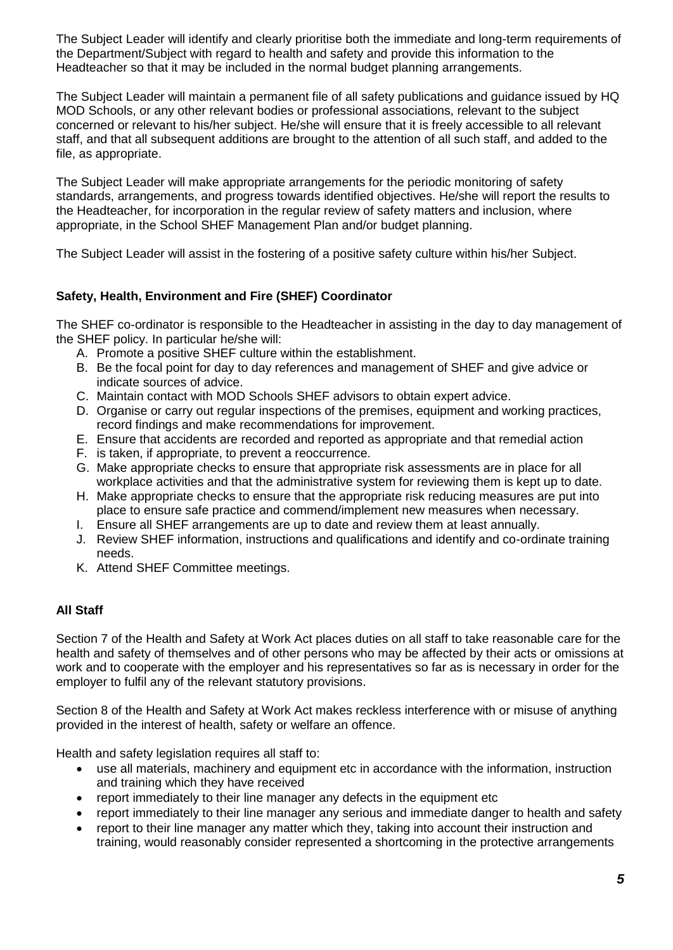The Subject Leader will identify and clearly prioritise both the immediate and long-term requirements of the Department/Subject with regard to health and safety and provide this information to the Headteacher so that it may be included in the normal budget planning arrangements.

The Subject Leader will maintain a permanent file of all safety publications and guidance issued by HQ MOD Schools, or any other relevant bodies or professional associations, relevant to the subject concerned or relevant to his/her subject. He/she will ensure that it is freely accessible to all relevant staff, and that all subsequent additions are brought to the attention of all such staff, and added to the file, as appropriate.

The Subject Leader will make appropriate arrangements for the periodic monitoring of safety standards, arrangements, and progress towards identified objectives. He/she will report the results to the Headteacher, for incorporation in the regular review of safety matters and inclusion, where appropriate, in the School SHEF Management Plan and/or budget planning.

The Subject Leader will assist in the fostering of a positive safety culture within his/her Subject.

# **Safety, Health, Environment and Fire (SHEF) Coordinator**

The SHEF co-ordinator is responsible to the Headteacher in assisting in the day to day management of the SHEF policy. In particular he/she will:

- A. Promote a positive SHEF culture within the establishment.
- B. Be the focal point for day to day references and management of SHEF and give advice or indicate sources of advice.
- C. Maintain contact with MOD Schools SHEF advisors to obtain expert advice.
- D. Organise or carry out regular inspections of the premises, equipment and working practices, record findings and make recommendations for improvement.
- E. Ensure that accidents are recorded and reported as appropriate and that remedial action
- F. is taken, if appropriate, to prevent a reoccurrence.
- G. Make appropriate checks to ensure that appropriate risk assessments are in place for all workplace activities and that the administrative system for reviewing them is kept up to date.
- H. Make appropriate checks to ensure that the appropriate risk reducing measures are put into place to ensure safe practice and commend/implement new measures when necessary.
- I. Ensure all SHEF arrangements are up to date and review them at least annually.
- J. Review SHEF information, instructions and qualifications and identify and co-ordinate training needs.
- K. Attend SHEF Committee meetings.

## **All Staff**

Section 7 of the Health and Safety at Work Act places duties on all staff to take reasonable care for the health and safety of themselves and of other persons who may be affected by their acts or omissions at work and to cooperate with the employer and his representatives so far as is necessary in order for the employer to fulfil any of the relevant statutory provisions.

Section 8 of the Health and Safety at Work Act makes reckless interference with or misuse of anything provided in the interest of health, safety or welfare an offence.

Health and safety legislation requires all staff to:

- use all materials, machinery and equipment etc in accordance with the information, instruction and training which they have received
- report immediately to their line manager any defects in the equipment etc
- report immediately to their line manager any serious and immediate danger to health and safety
- report to their line manager any matter which they, taking into account their instruction and training, would reasonably consider represented a shortcoming in the protective arrangements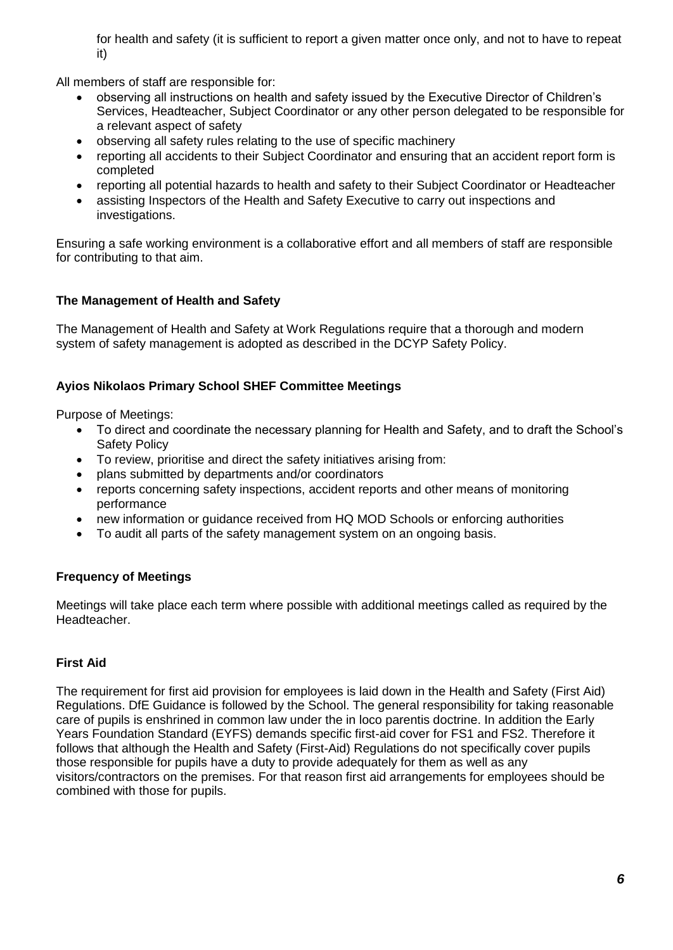for health and safety (it is sufficient to report a given matter once only, and not to have to repeat it)

All members of staff are responsible for:

- observing all instructions on health and safety issued by the Executive Director of Children's Services, Headteacher, Subject Coordinator or any other person delegated to be responsible for a relevant aspect of safety
- observing all safety rules relating to the use of specific machinery
- reporting all accidents to their Subject Coordinator and ensuring that an accident report form is completed
- reporting all potential hazards to health and safety to their Subject Coordinator or Headteacher
- assisting Inspectors of the Health and Safety Executive to carry out inspections and investigations.

Ensuring a safe working environment is a collaborative effort and all members of staff are responsible for contributing to that aim.

## **The Management of Health and Safety**

The Management of Health and Safety at Work Regulations require that a thorough and modern system of safety management is adopted as described in the DCYP Safety Policy.

## **Ayios Nikolaos Primary School SHEF Committee Meetings**

Purpose of Meetings:

- To direct and coordinate the necessary planning for Health and Safety, and to draft the School's Safety Policy
- To review, prioritise and direct the safety initiatives arising from:
- plans submitted by departments and/or coordinators
- reports concerning safety inspections, accident reports and other means of monitoring performance
- new information or guidance received from HQ MOD Schools or enforcing authorities
- To audit all parts of the safety management system on an ongoing basis.

## **Frequency of Meetings**

Meetings will take place each term where possible with additional meetings called as required by the Headteacher.

## **First Aid**

The requirement for first aid provision for employees is laid down in the Health and Safety (First Aid) Regulations. DfE Guidance is followed by the School. The general responsibility for taking reasonable care of pupils is enshrined in common law under the in loco parentis doctrine. In addition the Early Years Foundation Standard (EYFS) demands specific first-aid cover for FS1 and FS2. Therefore it follows that although the Health and Safety (First-Aid) Regulations do not specifically cover pupils those responsible for pupils have a duty to provide adequately for them as well as any visitors/contractors on the premises. For that reason first aid arrangements for employees should be combined with those for pupils.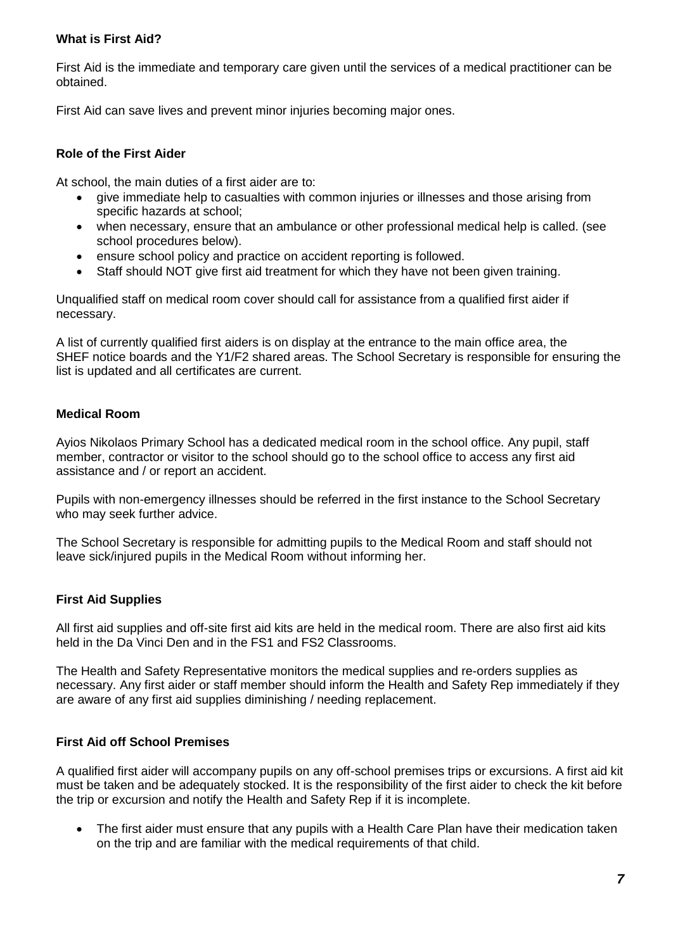## **What is First Aid?**

First Aid is the immediate and temporary care given until the services of a medical practitioner can be obtained.

First Aid can save lives and prevent minor injuries becoming major ones.

## **Role of the First Aider**

At school, the main duties of a first aider are to:

- give immediate help to casualties with common injuries or illnesses and those arising from specific hazards at school;
- when necessary, ensure that an ambulance or other professional medical help is called. (see school procedures below).
- ensure school policy and practice on accident reporting is followed.
- Staff should NOT give first aid treatment for which they have not been given training.

Unqualified staff on medical room cover should call for assistance from a qualified first aider if necessary.

A list of currently qualified first aiders is on display at the entrance to the main office area, the SHEF notice boards and the Y1/F2 shared areas. The School Secretary is responsible for ensuring the list is updated and all certificates are current.

# **Medical Room**

Ayios Nikolaos Primary School has a dedicated medical room in the school office. Any pupil, staff member, contractor or visitor to the school should go to the school office to access any first aid assistance and / or report an accident.

Pupils with non-emergency illnesses should be referred in the first instance to the School Secretary who may seek further advice.

The School Secretary is responsible for admitting pupils to the Medical Room and staff should not leave sick/injured pupils in the Medical Room without informing her.

## **First Aid Supplies**

All first aid supplies and off-site first aid kits are held in the medical room. There are also first aid kits held in the Da Vinci Den and in the FS1 and FS2 Classrooms.

The Health and Safety Representative monitors the medical supplies and re-orders supplies as necessary. Any first aider or staff member should inform the Health and Safety Rep immediately if they are aware of any first aid supplies diminishing / needing replacement.

## **First Aid off School Premises**

A qualified first aider will accompany pupils on any off-school premises trips or excursions. A first aid kit must be taken and be adequately stocked. It is the responsibility of the first aider to check the kit before the trip or excursion and notify the Health and Safety Rep if it is incomplete.

• The first aider must ensure that any pupils with a Health Care Plan have their medication taken on the trip and are familiar with the medical requirements of that child.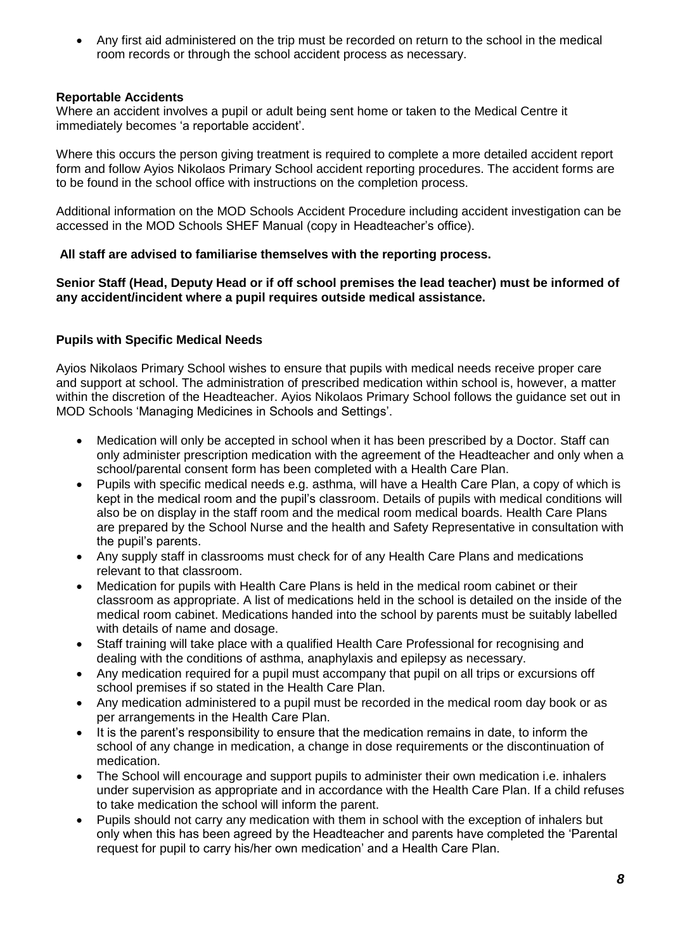• Any first aid administered on the trip must be recorded on return to the school in the medical room records or through the school accident process as necessary.

## **Reportable Accidents**

Where an accident involves a pupil or adult being sent home or taken to the Medical Centre it immediately becomes 'a reportable accident'.

Where this occurs the person giving treatment is required to complete a more detailed accident report form and follow Ayios Nikolaos Primary School accident reporting procedures. The accident forms are to be found in the school office with instructions on the completion process.

Additional information on the MOD Schools Accident Procedure including accident investigation can be accessed in the MOD Schools SHEF Manual (copy in Headteacher's office).

## **All staff are advised to familiarise themselves with the reporting process.**

**Senior Staff (Head, Deputy Head or if off school premises the lead teacher) must be informed of any accident/incident where a pupil requires outside medical assistance.**

## **Pupils with Specific Medical Needs**

Ayios Nikolaos Primary School wishes to ensure that pupils with medical needs receive proper care and support at school. The administration of prescribed medication within school is, however, a matter within the discretion of the Headteacher. Ayios Nikolaos Primary School follows the guidance set out in MOD Schools 'Managing Medicines in Schools and Settings'.

- Medication will only be accepted in school when it has been prescribed by a Doctor. Staff can only administer prescription medication with the agreement of the Headteacher and only when a school/parental consent form has been completed with a Health Care Plan.
- Pupils with specific medical needs e.g. asthma, will have a Health Care Plan, a copy of which is kept in the medical room and the pupil's classroom. Details of pupils with medical conditions will also be on display in the staff room and the medical room medical boards. Health Care Plans are prepared by the School Nurse and the health and Safety Representative in consultation with the pupil's parents.
- Any supply staff in classrooms must check for of any Health Care Plans and medications relevant to that classroom.
- Medication for pupils with Health Care Plans is held in the medical room cabinet or their classroom as appropriate. A list of medications held in the school is detailed on the inside of the medical room cabinet. Medications handed into the school by parents must be suitably labelled with details of name and dosage.
- Staff training will take place with a qualified Health Care Professional for recognising and dealing with the conditions of asthma, anaphylaxis and epilepsy as necessary.
- Any medication required for a pupil must accompany that pupil on all trips or excursions off school premises if so stated in the Health Care Plan.
- Any medication administered to a pupil must be recorded in the medical room day book or as per arrangements in the Health Care Plan.
- It is the parent's responsibility to ensure that the medication remains in date, to inform the school of any change in medication, a change in dose requirements or the discontinuation of medication.
- The School will encourage and support pupils to administer their own medication i.e. inhalers under supervision as appropriate and in accordance with the Health Care Plan. If a child refuses to take medication the school will inform the parent.
- Pupils should not carry any medication with them in school with the exception of inhalers but only when this has been agreed by the Headteacher and parents have completed the 'Parental request for pupil to carry his/her own medication' and a Health Care Plan.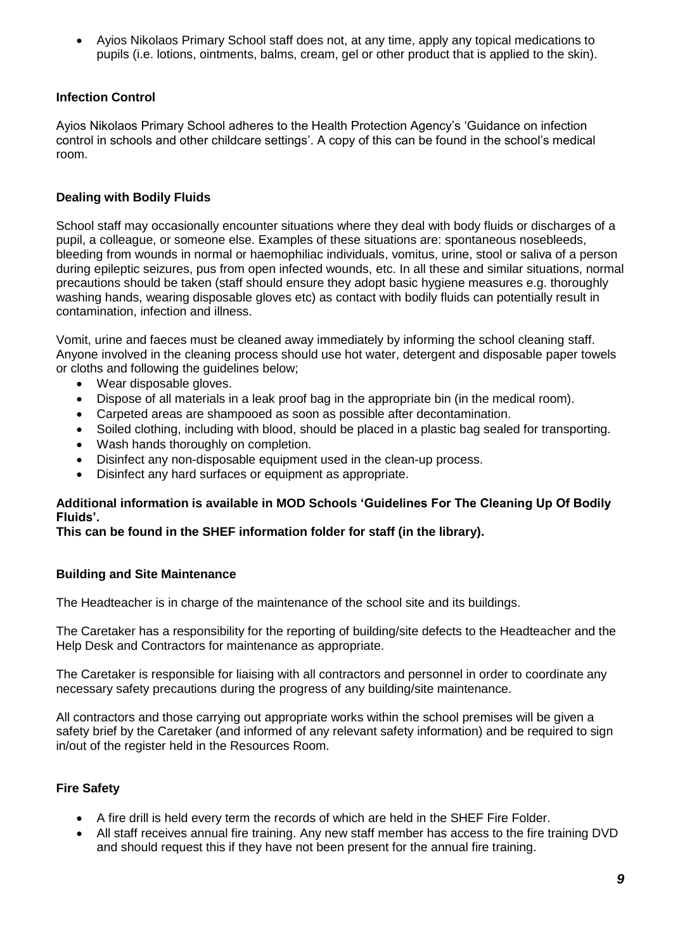• Ayios Nikolaos Primary School staff does not, at any time, apply any topical medications to pupils (i.e. lotions, ointments, balms, cream, gel or other product that is applied to the skin).

## **Infection Control**

Ayios Nikolaos Primary School adheres to the Health Protection Agency's 'Guidance on infection control in schools and other childcare settings'. A copy of this can be found in the school's medical room.

## **Dealing with Bodily Fluids**

School staff may occasionally encounter situations where they deal with body fluids or discharges of a pupil, a colleague, or someone else. Examples of these situations are: spontaneous nosebleeds, bleeding from wounds in normal or haemophiliac individuals, vomitus, urine, stool or saliva of a person during epileptic seizures, pus from open infected wounds, etc. In all these and similar situations, normal precautions should be taken (staff should ensure they adopt basic hygiene measures e.g. thoroughly washing hands, wearing disposable gloves etc) as contact with bodily fluids can potentially result in contamination, infection and illness.

Vomit, urine and faeces must be cleaned away immediately by informing the school cleaning staff. Anyone involved in the cleaning process should use hot water, detergent and disposable paper towels or cloths and following the guidelines below;

- Wear disposable gloves.
- Dispose of all materials in a leak proof bag in the appropriate bin (in the medical room).
- Carpeted areas are shampooed as soon as possible after decontamination.
- Soiled clothing, including with blood, should be placed in a plastic bag sealed for transporting.
- Wash hands thoroughly on completion.
- Disinfect any non-disposable equipment used in the clean-up process.
- Disinfect any hard surfaces or equipment as appropriate.

#### **Additional information is available in MOD Schools 'Guidelines For The Cleaning Up Of Bodily Fluids'.**

#### **This can be found in the SHEF information folder for staff (in the library).**

#### **Building and Site Maintenance**

The Headteacher is in charge of the maintenance of the school site and its buildings.

The Caretaker has a responsibility for the reporting of building/site defects to the Headteacher and the Help Desk and Contractors for maintenance as appropriate.

The Caretaker is responsible for liaising with all contractors and personnel in order to coordinate any necessary safety precautions during the progress of any building/site maintenance.

All contractors and those carrying out appropriate works within the school premises will be given a safety brief by the Caretaker (and informed of any relevant safety information) and be required to sign in/out of the register held in the Resources Room.

## **Fire Safety**

- A fire drill is held every term the records of which are held in the SHEF Fire Folder.
- All staff receives annual fire training. Any new staff member has access to the fire training DVD and should request this if they have not been present for the annual fire training.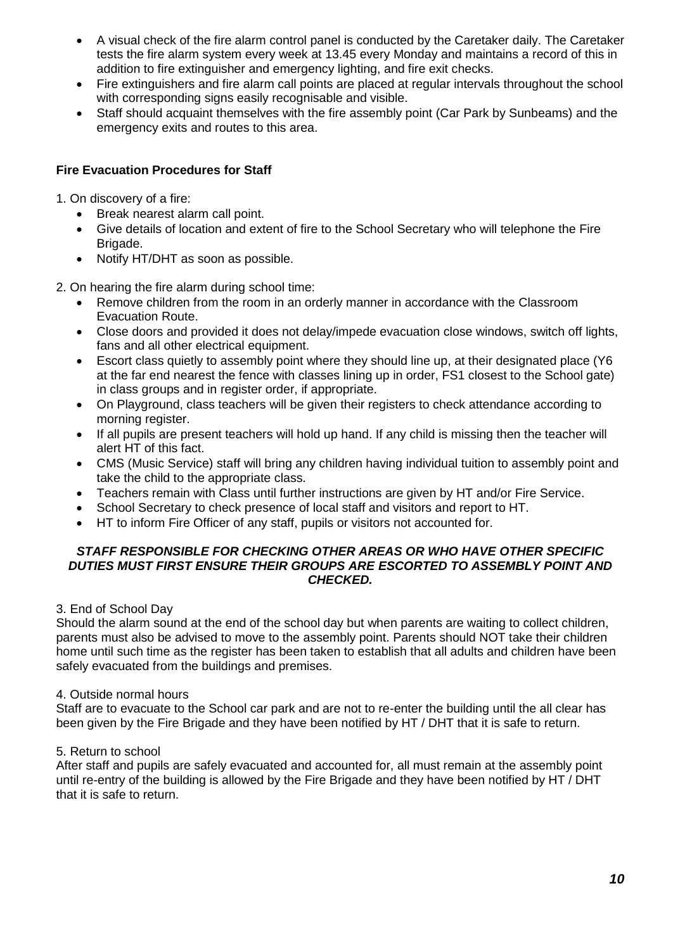- A visual check of the fire alarm control panel is conducted by the Caretaker daily. The Caretaker tests the fire alarm system every week at 13.45 every Monday and maintains a record of this in addition to fire extinguisher and emergency lighting, and fire exit checks.
- Fire extinguishers and fire alarm call points are placed at regular intervals throughout the school with corresponding signs easily recognisable and visible.
- Staff should acquaint themselves with the fire assembly point (Car Park by Sunbeams) and the emergency exits and routes to this area.

## **Fire Evacuation Procedures for Staff**

- 1. On discovery of a fire:
	- Break nearest alarm call point.
	- Give details of location and extent of fire to the School Secretary who will telephone the Fire Brigade.
	- Notify HT/DHT as soon as possible.
- 2. On hearing the fire alarm during school time:
	- Remove children from the room in an orderly manner in accordance with the Classroom Evacuation Route.
	- Close doors and provided it does not delay/impede evacuation close windows, switch off lights, fans and all other electrical equipment.
	- Escort class quietly to assembly point where they should line up, at their designated place (Y6 at the far end nearest the fence with classes lining up in order, FS1 closest to the School gate) in class groups and in register order, if appropriate.
	- On Playground, class teachers will be given their registers to check attendance according to morning register.
	- If all pupils are present teachers will hold up hand. If any child is missing then the teacher will alert HT of this fact.
	- CMS (Music Service) staff will bring any children having individual tuition to assembly point and take the child to the appropriate class.
	- Teachers remain with Class until further instructions are given by HT and/or Fire Service.
	- School Secretary to check presence of local staff and visitors and report to HT.
	- HT to inform Fire Officer of any staff, pupils or visitors not accounted for.

#### *STAFF RESPONSIBLE FOR CHECKING OTHER AREAS OR WHO HAVE OTHER SPECIFIC DUTIES MUST FIRST ENSURE THEIR GROUPS ARE ESCORTED TO ASSEMBLY POINT AND CHECKED.*

#### 3. End of School Day

Should the alarm sound at the end of the school day but when parents are waiting to collect children, parents must also be advised to move to the assembly point. Parents should NOT take their children home until such time as the register has been taken to establish that all adults and children have been safely evacuated from the buildings and premises.

#### 4. Outside normal hours

Staff are to evacuate to the School car park and are not to re-enter the building until the all clear has been given by the Fire Brigade and they have been notified by HT / DHT that it is safe to return.

#### 5. Return to school

After staff and pupils are safely evacuated and accounted for, all must remain at the assembly point until re-entry of the building is allowed by the Fire Brigade and they have been notified by HT / DHT that it is safe to return.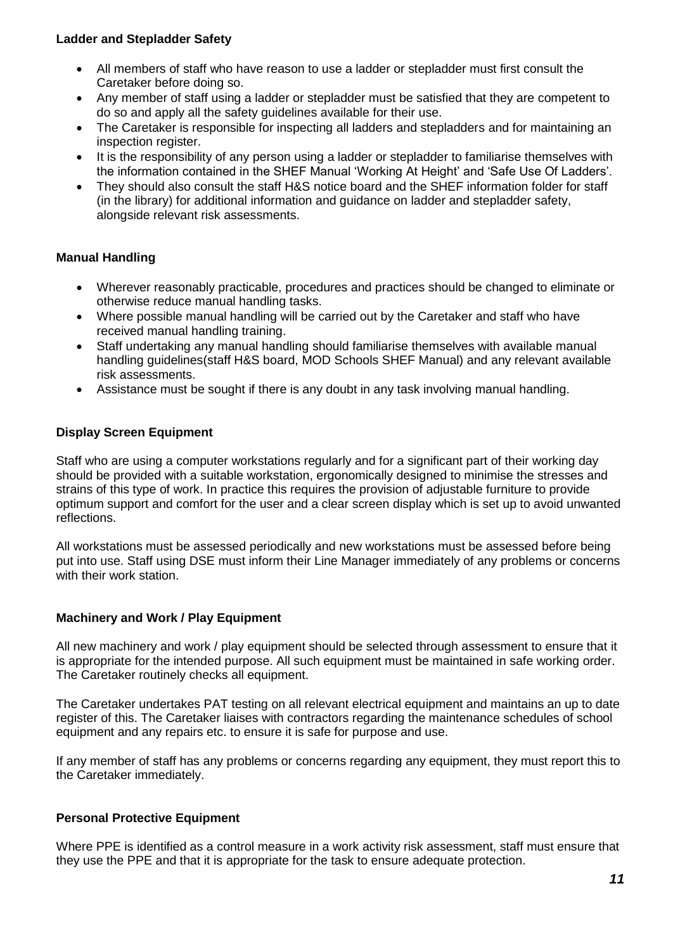#### **Ladder and Stepladder Safety**

- All members of staff who have reason to use a ladder or stepladder must first consult the Caretaker before doing so.
- Any member of staff using a ladder or stepladder must be satisfied that they are competent to do so and apply all the safety guidelines available for their use.
- The Caretaker is responsible for inspecting all ladders and stepladders and for maintaining an inspection register.
- It is the responsibility of any person using a ladder or stepladder to familiarise themselves with the information contained in the SHEF Manual 'Working At Height' and 'Safe Use Of Ladders'.
- They should also consult the staff H&S notice board and the SHEF information folder for staff (in the library) for additional information and guidance on ladder and stepladder safety, alongside relevant risk assessments.

## **Manual Handling**

- Wherever reasonably practicable, procedures and practices should be changed to eliminate or otherwise reduce manual handling tasks.
- Where possible manual handling will be carried out by the Caretaker and staff who have received manual handling training.
- Staff undertaking any manual handling should familiarise themselves with available manual handling guidelines(staff H&S board, MOD Schools SHEF Manual) and any relevant available risk assessments.
- Assistance must be sought if there is any doubt in any task involving manual handling.

## **Display Screen Equipment**

Staff who are using a computer workstations regularly and for a significant part of their working day should be provided with a suitable workstation, ergonomically designed to minimise the stresses and strains of this type of work. In practice this requires the provision of adjustable furniture to provide optimum support and comfort for the user and a clear screen display which is set up to avoid unwanted reflections.

All workstations must be assessed periodically and new workstations must be assessed before being put into use. Staff using DSE must inform their Line Manager immediately of any problems or concerns with their work station.

#### **Machinery and Work / Play Equipment**

All new machinery and work / play equipment should be selected through assessment to ensure that it is appropriate for the intended purpose. All such equipment must be maintained in safe working order. The Caretaker routinely checks all equipment.

The Caretaker undertakes PAT testing on all relevant electrical equipment and maintains an up to date register of this. The Caretaker liaises with contractors regarding the maintenance schedules of school equipment and any repairs etc. to ensure it is safe for purpose and use.

If any member of staff has any problems or concerns regarding any equipment, they must report this to the Caretaker immediately.

#### **Personal Protective Equipment**

Where PPE is identified as a control measure in a work activity risk assessment, staff must ensure that they use the PPE and that it is appropriate for the task to ensure adequate protection.